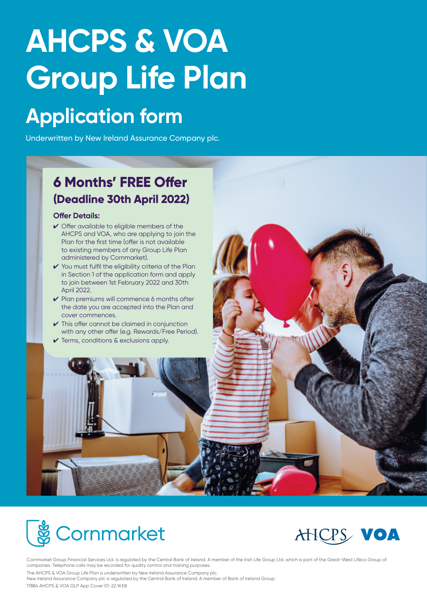# **AHCPS & VOA Group Life Plan**

## **Application form**

Underwritten by New Ireland Assurance Company plc.

## **6 Months' FREE Offer (Deadline 30th April 2022)**

#### **Offer Details:**

- ✔ Offer available to eligible members of the AHCPS and VOA, who are applying to join the Plan for the first time (offer is not available to existing members of any Group Life Plan administered by Cornmarket).
- ✔ You must fulfil the eligibility criteria of the Plan in Section 1 of the application form and apply to join between 1st February 2022 and 30th April 2022.
- ✔ Plan premiums will commence 6 months after the date you are accepted into the Plan and cover commences.
- $\checkmark$  This offer cannot be claimed in conjunction with any other offer (e.g. Rewards/Free Period).
- ✔ Terms, conditions & exclusions apply.





Cornmarket Group Financial Services Ltd. is regulated by the Central Bank of Ireland. A member of the Irish Life Group Ltd. which is part of the Great-West Lifeco Group of companies. Telephone calls may be recorded for quality control and training purposes. The AHCPS & VOA Group Life Plan is underwritten by New Ireland Assurance Company plc. New Ireland Assurance Company plc is regulated by the Central Bank of Ireland. A member of Bank of Ireland Group.

17884 AHCPS & VOA GLP App Cover 01-22 WEB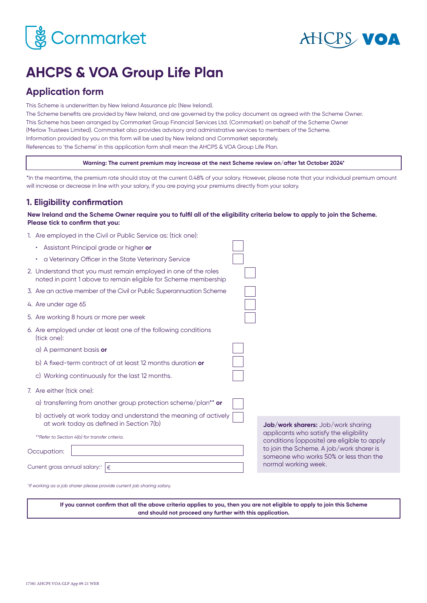



apply

## **AHCPS & VOA Group Life Plan**

## **Application form**

This Scheme is underwritten by New Ireland Assurance plc (New Ireland).

The Scheme benefits are provided by New Ireland, and are governed by the policy document as agreed with the Scheme Owner. This Scheme has been arranged by Cornmarket Group Financial Services Ltd. (Cornmarket) on behalf of the Scheme Owner (Merlow Trustees Limited). Cornmarket also provides advisory and administrative services to members of the Scheme. Information provided by you on this form will be used by New Ireland and Cornmarket separately. References to `the Scheme' in this application form shall mean the AHCPS & VOA Group Life Plan.

**Warning: The current premium may increase at the next Scheme review on/after 1st October 2024\***

\*In the meantime, the premium rate should stay at the current 0.48% of your salary. However, please note that your individual premium amount will increase or decrease in line with your salary, if you are paying your premiums directly from your salary.

## **1. Eligibility confirmation**

#### **New Ireland and the Scheme Owner require you to fulfil all of the eligibility criteria below to apply to join the Scheme. Please tick to confirm that you:**

|  | 1. Are employed in the Civil or Public Service as: (tick one): |  |  |  |  |  |  |
|--|----------------------------------------------------------------|--|--|--|--|--|--|
|--|----------------------------------------------------------------|--|--|--|--|--|--|

| Assistant Principal grade or higher or                                                                                             |                                                                                       |
|------------------------------------------------------------------------------------------------------------------------------------|---------------------------------------------------------------------------------------|
| a Veterinary Officer in the State Veterinary Service<br>$\bullet$                                                                  |                                                                                       |
| 2. Understand that you must remain employed in one of the roles<br>noted in point 1 above to remain eligible for Scheme membership |                                                                                       |
| 3. Are an active member of the Civil or Public Superannuation Scheme                                                               |                                                                                       |
| 4. Are under age 65                                                                                                                |                                                                                       |
| 5. Are working 8 hours or more per week                                                                                            |                                                                                       |
| 6. Are employed under at least one of the following conditions<br>(tick one):                                                      |                                                                                       |
| a) A permanent basis or                                                                                                            |                                                                                       |
| b) A fixed-term contract of at least 12 months duration or                                                                         |                                                                                       |
| c) Working continuously for the last 12 months.                                                                                    |                                                                                       |
| 7. Are either (tick one):                                                                                                          |                                                                                       |
| a) transferring from another group protection scheme/plan <sup>**</sup> or                                                         |                                                                                       |
| b) actively at work today and understand the meaning of actively<br>at work today as defined in Section 7(b)                       | <b>Job/work sharers:</b> Job/work sharing                                             |
| **Refer to Section 4(b) for transfer criteria.                                                                                     | applicants who satisfy the eligibility<br>conditions (opposite) are eligible to apply |
| Occupation:                                                                                                                        | to join the Scheme. A job/work sharer is<br>someone who works 50% or less than the    |
| Current gross annual salary: <sup>+</sup><br>€                                                                                     | normal working week.                                                                  |
| *If working as a job sharer please provide current job sharing salary.                                                             |                                                                                       |

**If you cannot confirm that all the above criteria applies to you, then you are not eligible to apply to join this Scheme and should not proceed any further with this application.**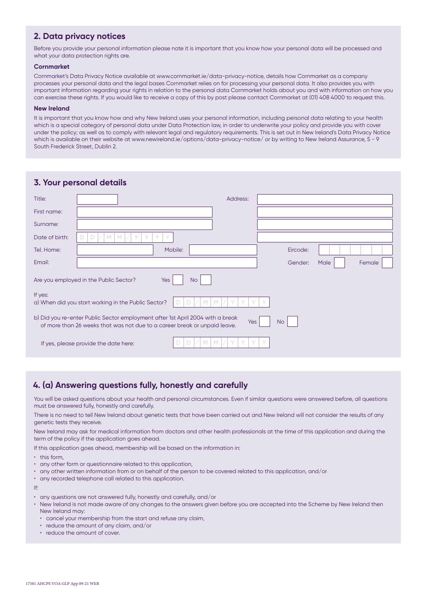## **2. Data privacy notices**

Before you provide your personal information please note it is important that you know how your personal data will be processed and what your data protection rights are.

#### **Cornmarket**

Cornmarket's Data Privacy Notice available at www.cornmarket.ie/data-privacy-notice, details how Cornmarket as a company processes your personal data and the legal bases Cornmarket relies on for processing your personal data. It also provides you with important information regarding your rights in relation to the personal data Cornmarket holds about you and with information on how you can exercise these rights. If you would like to receive a copy of this by post please contact Cornmarket at (01) 408 4000 to request this.

#### **New Ireland**

It is important that you know how and why New Ireland uses your personal information, including personal data relating to your health which is a special category of personal data under Data Protection law, in order to underwrite your policy and provide you with cover under the policy; as well as to comply with relevant legal and regulatory requirements. This is set out in New Ireland's Data Privacy Notice which is available on their website at www.newireland.ie/options/data-privacy-notice/ or by writing to New Ireland Assurance, 5 - 9 South Frederick Street, Dublin 2.

| 3. Your personal details                                                                                                                                                 |                                                                   |          |          |      |        |  |  |  |  |
|--------------------------------------------------------------------------------------------------------------------------------------------------------------------------|-------------------------------------------------------------------|----------|----------|------|--------|--|--|--|--|
| Title:                                                                                                                                                                   |                                                                   | Address: |          |      |        |  |  |  |  |
| First name:                                                                                                                                                              |                                                                   |          |          |      |        |  |  |  |  |
| Surname:                                                                                                                                                                 |                                                                   |          |          |      |        |  |  |  |  |
| Date of birth:                                                                                                                                                           | M<br>M<br>$\sqrt{}$                                               |          |          |      |        |  |  |  |  |
| Tel. Home:                                                                                                                                                               | Mobile:                                                           |          | Eircode: |      |        |  |  |  |  |
| Email:                                                                                                                                                                   |                                                                   |          | Gender:  | Male | Female |  |  |  |  |
|                                                                                                                                                                          | Are you employed in the Public Sector?<br><b>Yes</b><br><b>No</b> |          |          |      |        |  |  |  |  |
| If yes:<br>a) When did you start working in the Public Sector?                                                                                                           |                                                                   |          |          |      |        |  |  |  |  |
| b) Did you re-enter Public Sector employment after 1st April 2004 with a break<br>Yes<br>No<br>of more than 26 weeks that was not due to a career break or unpaid leave. |                                                                   |          |          |      |        |  |  |  |  |
|                                                                                                                                                                          | Ð<br>If yes, please provide the date here:                        |          |          |      |        |  |  |  |  |

## **4. (a) Answering questions fully, honestly and carefully**

You will be asked questions about your health and personal circumstances. Even if similar questions were answered before, all questions must be answered fully, honestly and carefully.

There is no need to tell New Ireland about genetic tests that have been carried out and New Ireland will not consider the results of any genetic tests they receive.

New Ireland may ask for medical information from doctors and other health professionals at the time of this application and during the term of the policy if the application goes ahead.

If this application goes ahead, membership will be based on the information in:

- this form
- any other form or questionnaire related to this application,
- any other written information from or on behalf of the person to be covered related to this application, and/or
- any recorded telephone call related to this application.

If:

- any questions are not answered fully, honestly and carefully, and/or
- New Ireland is not made aware of any changes to the answers given before you are accepted into the Scheme by New Ireland then New Ireland may:
	- cancel your membership from the start and refuse any claim,
	- reduce the amount of any claim, and/or
	- reduce the amount of cover.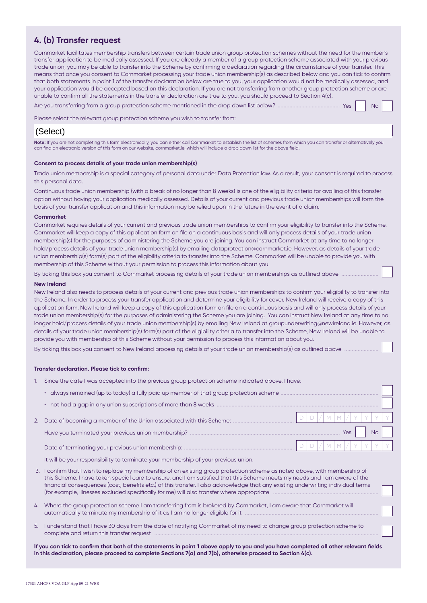### **4. (b) Transfer request**

Cornmarket facilitates membership transfers between certain trade union group protection schemes without the need for the member's transfer application to be medically assessed. If you are already a member of a group protection scheme associated with your previous trade union, you may be able to transfer into the Scheme by confirming a declaration regarding the circumstance of your transfer. This means that once you consent to Cornmarket processing your trade union membership(s) as described below and you can tick to confirm that both statements in point 1 of the transfer declaration below are true to you, your application would not be medically assessed, and your application would be accepted based on this declaration. If you are not transferring from another group protection scheme or are unable to confirm all the statements in the transfer declaration are true to you, you should proceed to Section 4(c).

 $\ldots$  Yes  $\parallel$  No

Please select the relevant group protection scheme you wish to transfer from:

## (Select)

Note: If you are not completing this form electronically, you can either call Cornmarket to establish the list of schemes from which you can transfer or alternatively you can find an electronic version of this form on our website, cornmarket.ie, which will include a drop down list for the above field.

#### **Consent to process details of your trade union membership(s)**

Trade union membership is a special category of personal data under Data Protection law. As a result, your consent is required to process this personal data.

Continuous trade union membership (with a break of no longer than 8 weeks) is one of the eligibility criteria for availing of this transfer option without having your application medically assessed. Details of your current and previous trade union memberships will form the basis of your transfer application and this information may be relied upon in the future in the event of a claim.

#### **Cornmarket**

Cornmarket requires details of your current and previous trade union memberships to confirm your eligibility to transfer into the Scheme. Cornmarket will keep a copy of this application form on file on a continuous basis and will only process details of your trade union membership(s) for the purposes of administering the Scheme you are joining. You can instruct Cornmarket at any time to no longer hold/process details of your trade union membership(s) by emailing dataprotection@cornmarket.ie. However, as details of your trade union membership(s) form(s) part of the eligibility criteria to transfer into the Scheme, Cornmarket will be unable to provide you with membership of this Scheme without your permission to process this information about you.

By ticking this box you consent to Cornmarket processing details of your trade union memberships as outlined above

#### **New Ireland**

New Ireland also needs to process details of your current and previous trade union memberships to confirm your eligibility to transfer into the Scheme. In order to process your transfer application and determine your eligibility for cover, New Ireland will receive a copy of this application form. New Ireland will keep a copy of this application form on file on a continuous basis and will only process details of your trade union membership(s) for the purposes of administering the Scheme you are joining. You can instruct New Ireland at any time to no longer hold/process details of your trade union membership(s) by emailing New Ireland at groupunderwriting@newireland.ie. However, as details of your trade union membership(s) form(s) part of the eligibility criteria to transfer into the Scheme, New Ireland will be unable to provide you with membership of this Scheme without your permission to process this information about you.

By ticking this box you consent to New Ireland processing details of your trade union membership(s) as outlined above

#### **Transfer declaration. Please tick to confirm:**

1. Since the date I was accepted into the previous group protection scheme indicated above, I have:

| 2. Date of becoming a member of the Union associated with this Scheme: |  |         |     | $\left(\left\lfloor M\right\rfloor M\left\rfloor /\right\rfloor Y\left\lfloor Y\right\rfloor Y\left\lfloor Y\right\rfloor$ |    |  |
|------------------------------------------------------------------------|--|---------|-----|----------------------------------------------------------------------------------------------------------------------------|----|--|
|                                                                        |  |         | Yes |                                                                                                                            | No |  |
|                                                                        |  | $M$ $M$ |     |                                                                                                                            |    |  |

It will be your responsibility to terminate your membership of your previous union.

- 3. I confirm that I wish to replace my membership of an existing group protection scheme as noted above, with membership of this Scheme. I have taken special care to ensure, and I am satisfied that this Scheme meets my needs and I am aware of the financial consequences (cost, benefits etc.) of this transfer. I also acknowledge that any existing underwriting individual terms (for example, illnesses excluded specifically for me) will also transfer where appropriate
- 4. Where the group protection scheme I am transferring from is brokered by Cornmarket, I am aware that Cornmarket will automatically terminate my membership of it as I am no longer eligible for it
- 5. I understand that I have 30 days from the date of notifying Cornmarket of my need to change group protection scheme to complete and return this transfer request

**If you can tick to confirm that both of the statements in point 1 above apply to you and you have completed all other relevant fields in this declaration, please proceed to complete Sections 7(a) and 7(b), otherwise proceed to Section 4(c).**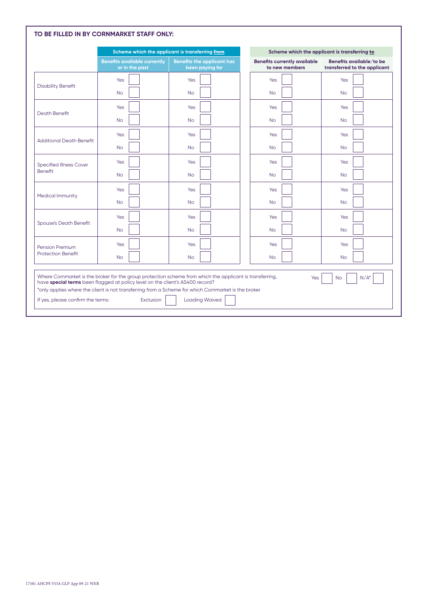|                                                                                                                                                                                                                                                                                                                                 |                                                       | Scheme which the applicant is transferring from      |                                                       | Scheme which the applicant is transferring to            |  |  |  |
|---------------------------------------------------------------------------------------------------------------------------------------------------------------------------------------------------------------------------------------------------------------------------------------------------------------------------------|-------------------------------------------------------|------------------------------------------------------|-------------------------------------------------------|----------------------------------------------------------|--|--|--|
|                                                                                                                                                                                                                                                                                                                                 | <b>Benefits available currently</b><br>or in the past | <b>Benefits the applicant has</b><br>been paying for | <b>Benefits currently available</b><br>to new members | Benefits available/to be<br>transferred to the applicant |  |  |  |
| <b>Disability Benefit</b>                                                                                                                                                                                                                                                                                                       | Yes                                                   | Yes                                                  | Yes                                                   | Yes                                                      |  |  |  |
|                                                                                                                                                                                                                                                                                                                                 | <b>No</b>                                             | <b>No</b>                                            | <b>No</b>                                             | <b>No</b>                                                |  |  |  |
| <b>Death Benefit</b>                                                                                                                                                                                                                                                                                                            | Yes                                                   | Yes                                                  | Yes                                                   | Yes                                                      |  |  |  |
|                                                                                                                                                                                                                                                                                                                                 | <b>No</b>                                             | <b>No</b>                                            | <b>No</b>                                             | <b>No</b>                                                |  |  |  |
| <b>Additional Death Benefit</b>                                                                                                                                                                                                                                                                                                 | Yes                                                   | Yes                                                  | Yes                                                   | Yes                                                      |  |  |  |
|                                                                                                                                                                                                                                                                                                                                 | <b>No</b>                                             | <b>No</b>                                            | <b>No</b>                                             | <b>No</b>                                                |  |  |  |
| <b>Specified Illness Cover</b>                                                                                                                                                                                                                                                                                                  | Yes                                                   | Yes                                                  | Yes                                                   | Yes                                                      |  |  |  |
| Benefit                                                                                                                                                                                                                                                                                                                         | <b>No</b>                                             | <b>No</b>                                            | <b>No</b>                                             | <b>No</b>                                                |  |  |  |
| Medical Immunity                                                                                                                                                                                                                                                                                                                | Yes                                                   | Yes                                                  | Yes                                                   | Yes                                                      |  |  |  |
|                                                                                                                                                                                                                                                                                                                                 | <b>No</b>                                             | No                                                   | <b>No</b>                                             | <b>No</b>                                                |  |  |  |
| <b>Spouse's Death Benefit</b>                                                                                                                                                                                                                                                                                                   | Yes                                                   | Yes                                                  | Yes                                                   | Yes                                                      |  |  |  |
|                                                                                                                                                                                                                                                                                                                                 | <b>No</b>                                             | <b>No</b>                                            | <b>No</b>                                             | <b>No</b>                                                |  |  |  |
| <b>Pension Premium</b>                                                                                                                                                                                                                                                                                                          | Yes                                                   | Yes                                                  | Yes                                                   | Yes                                                      |  |  |  |
| <b>Protection Benefit</b>                                                                                                                                                                                                                                                                                                       | <b>No</b>                                             | <b>No</b>                                            | <b>No</b>                                             | <b>No</b>                                                |  |  |  |
| Where Cornmarket is the broker for the group protection scheme from which the applicant is transferring,<br>Yes<br>$N/A^*$<br><b>No</b><br>have special terms been flagged at policy level on the client's AS400 record?<br>*only applies where the client is not transferring from a Scheme for which Cornmarket is the broker |                                                       |                                                      |                                                       |                                                          |  |  |  |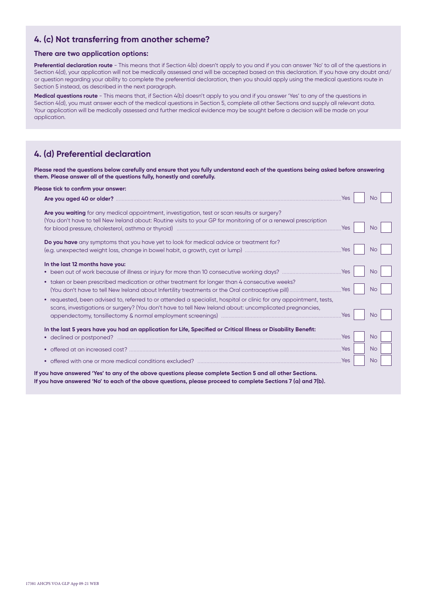## **4. (c) Not transferring from another scheme?**

#### **There are two application options:**

**Preferential declaration route** - This means that if Section 4(b) doesn't apply to you and if you can answer 'No' to all of the questions in Section 4(d), your application will not be medically assessed and will be accepted based on this declaration. If you have any doubt and/ or question regarding your ability to complete the preferential declaration, then you should apply using the medical questions route in Section 5 instead, as described in the next paragraph.

**Medical questions route** - This means that, if Section 4(b) doesn't apply to you and if you answer 'Yes' to any of the questions in Section 4(d), you must answer each of the medical questions in Section 5, complete all other Sections and supply all relevant data. Your application will be medically assessed and further medical evidence may be sought before a decision will be made on your application.

## **4. (d) Preferential declaration**

**Please read the questions below carefully and ensure that you fully understand each of the questions being asked before answering them. Please answer all of the questions fully, honestly and carefully.**

| Please tick to confirm your answer:                                                                                                                                                                                           | Yes | No.       |
|-------------------------------------------------------------------------------------------------------------------------------------------------------------------------------------------------------------------------------|-----|-----------|
| Are you waiting for any medical appointment, investigation, test or scan results or surgery?<br>(You don't have to tell New Ireland about: Routine visits to your GP for monitoring of or a renewal prescription              | Yes | No.       |
| Do you have any symptoms that you have yet to look for medical advice or treatment for?                                                                                                                                       | Yes | No.       |
| In the last 12 months have you:                                                                                                                                                                                               | Yes | <b>No</b> |
| taken or been prescribed medication or other treatment for longer than 4 consecutive weeks?                                                                                                                                   |     | <b>No</b> |
| • requested, been advised to, referred to or attended a specialist, hospital or clinic for any appointment, tests,<br>scans, investigations or surgery? (You don't have to tell New Ireland about: uncomplicated pregnancies, | Yes | No.       |
| In the last 5 years have you had an application for Life, Specified or Critical Illness or Disability Benefit:                                                                                                                | Yes | <b>No</b> |
| ٠                                                                                                                                                                                                                             | Yes | <b>No</b> |
|                                                                                                                                                                                                                               | Yes | <b>No</b> |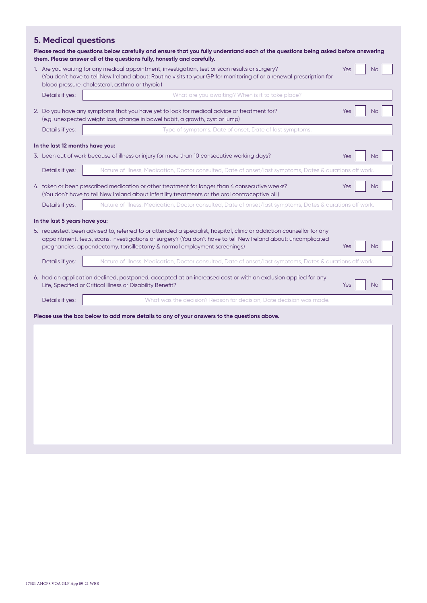## **5. Medical questions**

|                                 | Please read the questions below carefully and ensure that you fully understand each of the questions being asked before answering<br>them. Please answer all of the questions fully, honestly and carefully.                                                                                                        |     |           |
|---------------------------------|---------------------------------------------------------------------------------------------------------------------------------------------------------------------------------------------------------------------------------------------------------------------------------------------------------------------|-----|-----------|
|                                 | 1. Are you waiting for any medical appointment, investigation, test or scan results or surgery?<br>(You don't have to tell New Ireland about: Routine visits to your GP for monitoring of or a renewal prescription for<br>blood pressure, cholesterol, asthma or thyroid)                                          | Yes | <b>No</b> |
| Details if yes:                 | What are you awaiting? When is it to take place?                                                                                                                                                                                                                                                                    |     |           |
|                                 | 2. Do you have any symptoms that you have yet to look for medical advice or treatment for?<br>(e.g. unexpected weight loss, change in bowel habit, a growth, cyst or lump)                                                                                                                                          | Yes | <b>No</b> |
| Details if yes:                 | Type of symptoms, Date of onset, Date of last symptoms.                                                                                                                                                                                                                                                             |     |           |
| In the last 12 months have you: |                                                                                                                                                                                                                                                                                                                     |     |           |
|                                 | 3. been out of work because of illness or injury for more than 10 consecutive working days?                                                                                                                                                                                                                         | Yes | <b>No</b> |
| Details if yes:                 | Nature of illness, Medication, Doctor consulted, Date of onset/last symptoms, Dates & durations off work.                                                                                                                                                                                                           |     |           |
|                                 | 4. taken or been prescribed medication or other treatment for longer than 4 consecutive weeks?<br>(You don't have to tell New Ireland about Infertility treatments or the oral contraceptive pill)                                                                                                                  | Yes | <b>No</b> |
| Details if yes:                 | Nature of illness, Medication, Doctor consulted, Date of onset/last symptoms, Dates & durations off work.                                                                                                                                                                                                           |     |           |
| In the last 5 years have you:   | 5. requested, been advised to, referred to or attended a specialist, hospital, clinic or addiction counsellor for any<br>appointment, tests, scans, investigations or surgery? (You don't have to tell New Ireland about: uncomplicated<br>pregnancies, appendectomy, tonsillectomy & normal employment screenings) | Yes | <b>No</b> |
| Details if yes:                 | Nature of illness, Medication, Doctor consulted, Date of onset/last symptoms, Dates & durations off work.                                                                                                                                                                                                           |     |           |
|                                 | 6. had an application declined, postponed, accepted at an increased cost or with an exclusion applied for any<br>Life, Specified or Critical Illness or Disability Benefit?                                                                                                                                         | Yes | <b>No</b> |
| Details if yes:                 | What was the decision? Reason for decision, Date decision was made.                                                                                                                                                                                                                                                 |     |           |
|                                 | Please use the box below to add more details to any of your answers to the questions above.                                                                                                                                                                                                                         |     |           |
|                                 |                                                                                                                                                                                                                                                                                                                     |     |           |
|                                 |                                                                                                                                                                                                                                                                                                                     |     |           |
|                                 |                                                                                                                                                                                                                                                                                                                     |     |           |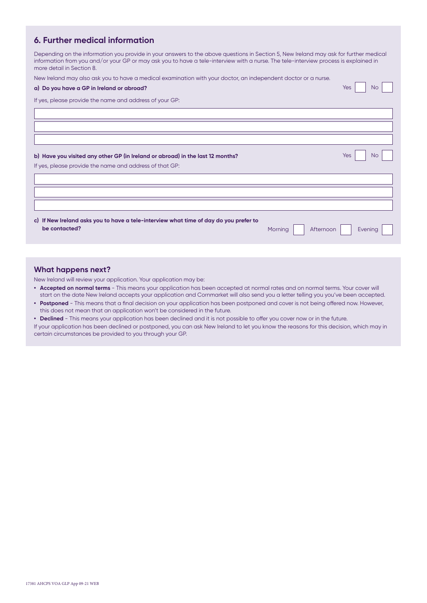## **6. Further medical information**

Depending on the information you provide in your answers to the above questions in Section 5, New Ireland may ask for further medical information from you and/or your GP or may ask you to have a tele-interview with a nurse. The tele-interview process is explained in more detail in Section 8.

New Ireland may also ask you to have a medical examination with your doctor, an independent doctor or a nurse.

| a) Do you have a GP in Ireland or abroad?                                             |  | <b>Yes</b> | <b>No</b> |  |
|---------------------------------------------------------------------------------------|--|------------|-----------|--|
| If yes, please provide the name and address of your GP:                               |  |            |           |  |
|                                                                                       |  |            |           |  |
|                                                                                       |  |            |           |  |
|                                                                                       |  |            |           |  |
|                                                                                       |  |            |           |  |
| b) Have you visited any other GP (in Ireland or abroad) in the last 12 months?        |  | <b>Yes</b> | <b>No</b> |  |
| If yes, please provide the name and address of that GP:                               |  |            |           |  |
|                                                                                       |  |            |           |  |
|                                                                                       |  |            |           |  |
|                                                                                       |  |            |           |  |
|                                                                                       |  |            |           |  |
| c) If New Ireland asks you to have a tele-interview what time of day do you prefer to |  |            |           |  |

#### **What happens next?**

New Ireland will review your application. Your application may be:

- **Accepted on normal terms** This means your application has been accepted at normal rates and on normal terms. Your cover will start on the date New Ireland accepts your application and Cornmarket will also send you a letter telling you you've been accepted. **• Postponed** - This means that a final decision on your application has been postponed and cover is not being offered now. However,
- this does not mean that an application won't be considered in the future. **• Declined** - This means your application has been declined and it is not possible to offer you cover now or in the future.

If your application has been declined or postponed, you can ask New Ireland to let you know the reasons for this decision, which may in certain circumstances be provided to you through your GP.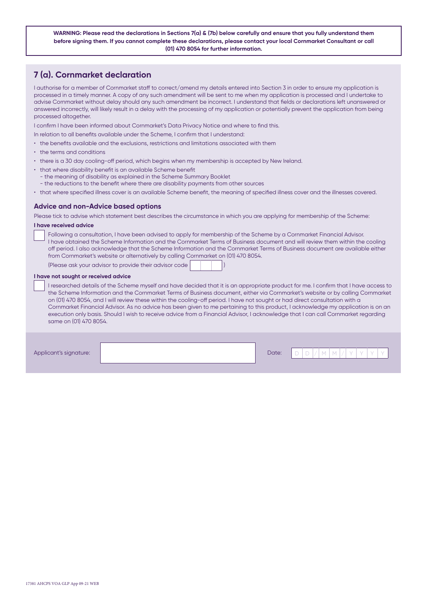**WARNING: Please read the declarations in Sections 7(a) & (7b) below carefully and ensure that you fully understand them before signing them. If you cannot complete these declarations, please contact your local Cornmarket Consultant or call (01) 470 8054 for further information.**

## **7 (a). Cornmarket declaration**

I authorise for a member of Cornmarket staff to correct/amend my details entered into Section 3 in order to ensure my application is processed in a timely manner. A copy of any such amendment will be sent to me when my application is processed and I undertake to advise Cornmarket without delay should any such amendment be incorrect. I understand that fields or declarations left unanswered or answered incorrectly, will likely result in a delay with the processing of my application or potentially prevent the application from being processed altogether.

I confirm I have been informed about Cornmarket's Data Privacy Notice and where to find this.

- In relation to all benefits available under the Scheme, I confirm that I understand:
- the benefits available and the exclusions, restrictions and limitations associated with them
- the terms and conditions
- there is a 30 day cooling-off period, which begins when my membership is accepted by New Ireland.
- that where disability benefit is an available Scheme benefit
	- the meaning of disability as explained in the Scheme Summary Booklet
	- the reductions to the benefit where there are disability payments from other sources
- that where specified illness cover is an available Scheme benefit, the meaning of specified illness cover and the illnesses covered.

#### **Advice and non-Advice based options**

Please tick to advise which statement best describes the circumstance in which you are applying for membership of the Scheme:

#### **I have received advice**

Following a consultation, I have been advised to apply for membership of the Scheme by a Cornmarket Financial Advisor. I have obtained the Scheme Information and the Cornmarket Terms of Business document and will review them within the cooling off period. I also acknowledge that the Scheme Information and the Cornmarket Terms of Business document are available either from Cornmarket's website or alternatively by calling Cornmarket on (01) 470 8054.

(Please ask your advisor to provide their advisor code )

#### **I have not sought or received advice**

I researched details of the Scheme myself and have decided that it is an appropriate product for me. I confirm that I have access to the Scheme Information and the Cornmarket Terms of Business document, either via Cornmarket's website or by calling Cornmarket on (01) 470 8054, and I will review these within the cooling-off period. I have not sought or had direct consultation with a Cornmarket Financial Advisor. As no advice has been given to me pertaining to this product, I acknowledge my application is on an execution only basis. Should I wish to receive advice from a Financial Advisor, I acknowledge that I can call Cornmarket regarding same on (01) 470 8054.

Applicant's signature: New York 2012 19:00 Applicant's signature: New York 2012 19:00 Applicant's signature: New York 2013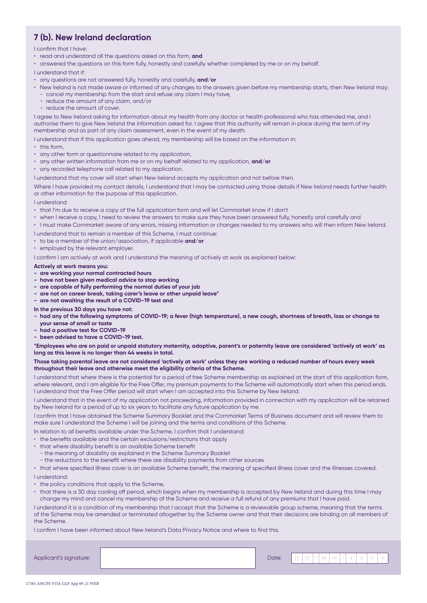## **7 (b). New Ireland declaration**

#### I confirm that I have:

- read and understand all the questions asked on this form, **and**
- answered the questions on this form fully, honestly and carefully whether completed by me or on my behalf.
- I understand that if:
- any questions are not answered fully, honestly and carefully, **and/or**
- New Ireland is not made aware or informed of any changes to the answers given before my membership starts, then New Ireland may: - cancel my membership from the start and refuse any claim I may have,
	- reduce the amount of any claim, and/or
	- reduce the amount of cover.

I agree to New Ireland asking for information about my health from any doctor or health professional who has attended me, and I authorise them to give New Ireland the information asked for. I agree that this authority will remain in place during the term of my membership and as part of any claim assessment, even in the event of my death.

- I understand that if this application goes ahead, my membership will be based on the information in:
- this form.
- any other form or questionnaire related to my application,
- any other written information from me or on my behalf related to my application, **and/or**
- any recorded telephone call related to my application.

I understand that my cover will start when New Ireland accepts my application and not before then.

Where I have provided my contact details, I understand that I may be contacted using those details if New Ireland needs further health or other information for the purpose of this application.

I understand

- that I'm due to receive a copy of the full application form and will let Cornmarket know if I don't
- when I receive a copy, I need to review the answers to make sure they have been answered fully, honestly and carefully and

• I must make Cornmarket aware of any errors, missing information or changes needed to my answers who will then inform New Ireland.

I understand that to remain a member of this Scheme, I must continue:

- to be a member of the union/association, if applicable **and/or**
- employed by the relevant employer.

I confirm I am actively at work and I understand the meaning of actively at work as explained below:

#### **Actively at work means you:**

- **- are working your normal contracted hours**
- **- have not been given medical advice to stop working**
- **are capable of fully performing the normal duties of your job**
- **are not on career break, taking carer's leave or other unpaid leave\***
- **are not awaiting the result of a COVID-19 test and**
- **In the previous 30 days you have not:**
- **- had any of the following symptoms of COVID-19; a fever (high temperature), a new cough, shortness of breath, loss or change to your sense of smell or taste**
- **- had a positive test for COVID-19**
- **- been advised to have a COVID-19 test.**

**\*Employees who are on paid or unpaid statutory maternity, adoptive, parent's or paternity leave are considered 'actively at work' as long as this leave is no longer than 44 weeks in total.**

#### **Those taking parental leave are not considered 'actively at work' unless they are working a reduced number of hours every week throughout their leave and otherwise meet the eligibility criteria of the Scheme.**

I understand that where there is the potential for a period of free Scheme membership as explained at the start of this application form, where relevant, and I am eligible for the Free Offer, my premium payments to the Scheme will automatically start when this period ends. I understand that the Free Offer period will start when I am accepted into this Scheme by New Ireland.

I understand that in the event of my application not proceeding, information provided in connection with my application will be retained by New Ireland for a period of up to six years to facilitate any future application by me.

I confirm that I have obtained the Scheme Summary Booklet and the Cornmarket Terms of Business document and will review them to make sure I understand the Scheme I will be joining and the terms and conditions of this Scheme.

In relation to all benefits available under the Scheme, I confirm that I understand:

- the benefits available and the certain exclusions/restrictions that apply
- that where disability benefit is an available Scheme benefit
	- the meaning of disability as explained in the Scheme Summary Booklet
- the reductions to the benefit where there are disability payments from other sources

• that where specified illness cover is an available Scheme benefit, the meaning of specified illness cover and the illnesses covered.

I understand:

- the policy conditions that apply to the Scheme,
- that there is a 30 day cooling off period, which begins when my membership is accepted by New Ireland and during this time I may change my mind and cancel my membership of the Scheme and receive a full refund of any premiums that I have paid.

I understand it is a condition of my membership that I accept that the Scheme is a reviewable group scheme, meaning that the terms of the Scheme may be amended or terminated altogether by the Scheme owner and that their decisions are binding on all members of the Scheme.

I confirm I have been informed about New Ireland's Data Privacy Notice and where to find this.

| Applicant's signature: | Date: | $\overline{\phantom{a}}$ |  |  |  |  |  |
|------------------------|-------|--------------------------|--|--|--|--|--|
|                        |       |                          |  |  |  |  |  |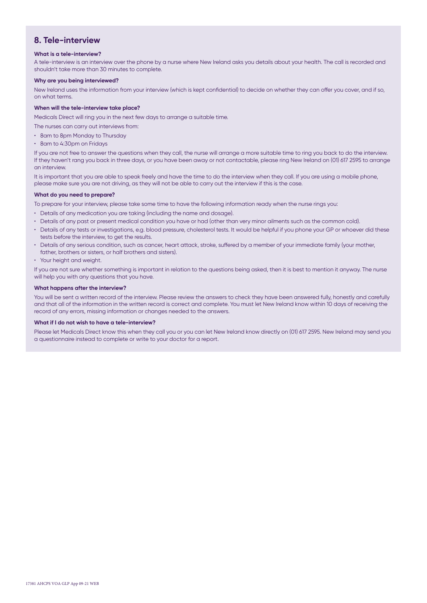### **8. Tele-interview**

#### **What is a tele-interview?**

A tele-interview is an interview over the phone by a nurse where New Ireland asks you details about your health. The call is recorded and shouldn't take more than 30 minutes to complete.

#### **Why are you being interviewed?**

New Ireland uses the information from your interview (which is kept confidential) to decide on whether they can offer you cover, and if so, on what terms.

#### **When will the tele-interview take place?**

Medicals Direct will ring you in the next few days to arrange a suitable time.

The nurses can carry out interviews from:

- 8am to 8pm Monday to Thursday
- 8am to 4:30pm on Fridays

If you are not free to answer the questions when they call, the nurse will arrange a more suitable time to ring you back to do the interview. If they haven't rang you back in three days, or you have been away or not contactable, please ring New Ireland on (01) 617 2595 to arrange an interview.

It is important that you are able to speak freely and have the time to do the interview when they call. If you are using a mobile phone, please make sure you are not driving, as they will not be able to carry out the interview if this is the case.

#### **What do you need to prepare?**

To prepare for your interview, please take some time to have the following information ready when the nurse rings you:

- Details of any medication you are taking (including the name and dosage).
- Details of any past or present medical condition you have or had (other than very minor ailments such as the common cold).
- Details of any tests or investigations, e.g. blood pressure, cholesterol tests. It would be helpful if you phone your GP or whoever did these tests before the interview, to get the results.
- Details of any serious condition, such as cancer, heart attack, stroke, suffered by a member of your immediate family (your mother, father, brothers or sisters, or half brothers and sisters).
- Your height and weight.

If you are not sure whether something is important in relation to the questions being asked, then it is best to mention it anyway. The nurse will help you with any questions that you have.

#### **What happens after the interview?**

You will be sent a written record of the interview. Please review the answers to check they have been answered fully, honestly and carefully and that all of the information in the written record is correct and complete. You must let New Ireland know within 10 days of receiving the record of any errors, missing information or changes needed to the answers.

#### **What if I do not wish to have a tele-interview?**

Please let Medicals Direct know this when they call you or you can let New Ireland know directly on (01) 617 2595. New Ireland may send you a questionnaire instead to complete or write to your doctor for a report.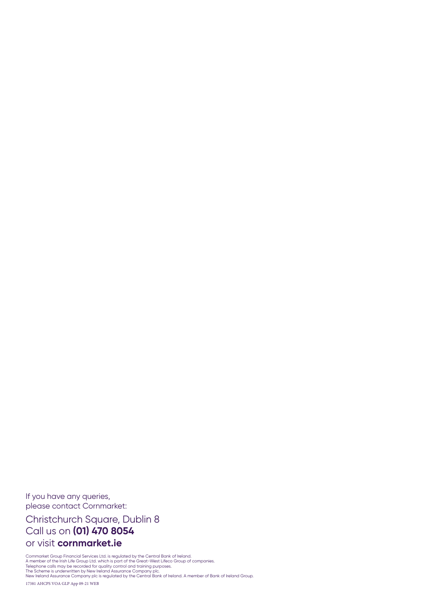If you have any queries, please contact Cornmarket:

Christchurch Square, Dublin 8 Call us on **(01) 470 8054** or visit **cornmarket.ie**

17381 AHCPS VOA GLP App 09-21 WEB Cornmarket Group Financial Services Ltd. is regulated by the Central Bank of Ireland.<br>A member of the Irish Life Group Ltd. which is part of the Great-West Lifeco Group of companies.<br>Telephone calls may be recorded for qua New Ireland Assurance Company plc is regulated by the Central Bank of Ireland. A member of Bank of Ireland Group.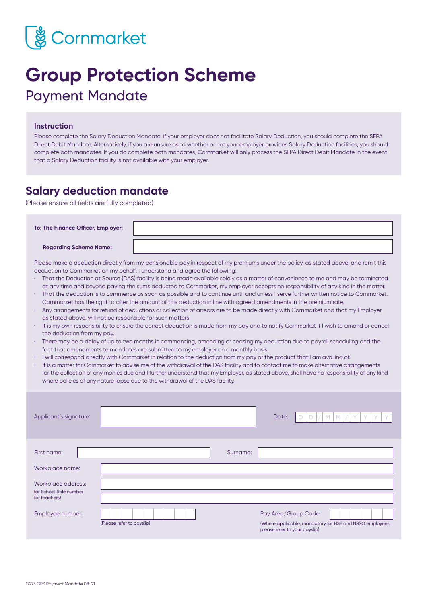

## **Group Protection Scheme** Payment Mandate

#### **Instruction**

Please complete the Salary Deduction Mandate. If your employer does not facilitate Salary Deduction, you should complete the SEPA Direct Debit Mandate. Alternatively, if you are unsure as to whether or not your employer provides Salary Deduction facilities, you should complete both mandates. If you do complete both mandates, Cornmarket will only process the SEPA Direct Debit Mandate in the event that a Salary Deduction facility is not available with your employer.

## **Salary deduction mandate**

(Please ensure all fields are fully completed)

 **Regarding Scheme Name:** 

Please make a deduction directly from my pensionable pay in respect of my premiums under the policy, as stated above, and remit this deduction to Cornmarket on my behalf. I understand and agree the following:

- That the Deduction at Source (DAS) facility is being made available solely as a matter of convenience to me and may be terminated at any time and beyond paying the sums deducted to Cornmarket, my employer accepts no responsibility of any kind in the matter.
- That the deduction is to commence as soon as possible and to continue until and unless I serve further written notice to Cornmarket. Cornmarket has the right to alter the amount of this deduction in line with agreed amendments in the premium rate.
- Any arrangements for refund of deductions or collection of arrears are to be made directly with Cornmarket and that my Employer, as stated above, will not be responsible for such matters
- It is my own responsibility to ensure the correct deduction is made from my pay and to notify Cornmarket if I wish to amend or cancel the deduction from my pay.
- There may be a delay of up to two months in commencing, amending or ceasing my deduction due to payroll scheduling and the fact that amendments to mandates are submitted to my employer on a monthly basis.
- I will correspond directly with Cornmarket in relation to the deduction from my pay or the product that I am availing of.
- It is a matter for Cornmarket to advise me of the withdrawal of the DAS facility and to contact me to make alternative arrangements for the collection of any monies due and I further understand that my Employer, as stated above, shall have no responsibility of any kind where policies of any nature lapse due to the withdrawal of the DAS facility.

| Applicant's signature:                       |                           |          | Date:<br>$/$ M $M$<br>Y<br>Y<br>Y                                                                                |
|----------------------------------------------|---------------------------|----------|------------------------------------------------------------------------------------------------------------------|
| First name:                                  |                           | Surname: |                                                                                                                  |
| Workplace name:                              |                           |          |                                                                                                                  |
| Workplace address:<br>(or School Role number |                           |          |                                                                                                                  |
| for teachers)                                |                           |          |                                                                                                                  |
| Employee number:                             | (Please refer to payslip) |          | Pay Area/Group Code<br>(Where applicable, mandatory for HSE and NSSO employees,<br>please refer to your payslip) |